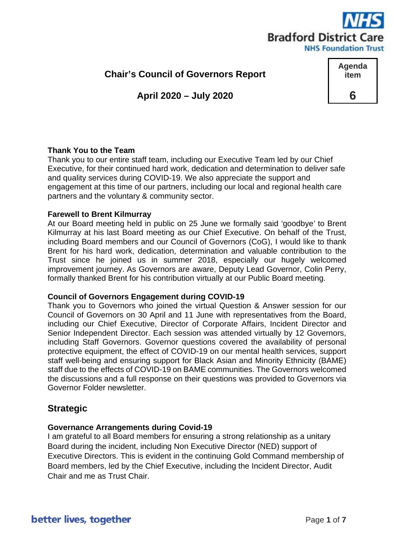

**Agenda item**

**6**

**Chair's Council of Governors Report**

**April 2020 – July 2020**

# **Thank You to the Team**

Thank you to our entire staff team, including our Executive Team led by our Chief Executive, for their continued hard work, dedication and determination to deliver safe and quality services during COVID-19. We also appreciate the support and engagement at this time of our partners, including our local and regional health care partners and the voluntary & community sector.

#### **Farewell to Brent Kilmurray**

At our Board meeting held in public on 25 June we formally said 'goodbye' to Brent Kilmurray at his last Board meeting as our Chief Executive. On behalf of the Trust, including Board members and our Council of Governors (CoG), I would like to thank Brent for his hard work, dedication, determination and valuable contribution to the Trust since he joined us in summer 2018, especially our hugely welcomed improvement journey. As Governors are aware, Deputy Lead Governor, Colin Perry, formally thanked Brent for his contribution virtually at our Public Board meeting.

#### **Council of Governors Engagement during COVID-19**

Thank you to Governors who joined the virtual Question & Answer session for our Council of Governors on 30 April and 11 June with representatives from the Board, including our Chief Executive, Director of Corporate Affairs, Incident Director and Senior Independent Director. Each session was attended virtually by 12 Governors, including Staff Governors. Governor questions covered the availability of personal protective equipment, the effect of COVID-19 on our mental health services, support staff well-being and ensuring support for Black Asian and Minority Ethnicity (BAME) staff due to the effects of COVID-19 on BAME communities. The Governors welcomed the discussions and a full response on their questions was provided to Governors via Governor Folder newsletter.

# **Strategic**

# **Governance Arrangements during Covid-19**

I am grateful to all Board members for ensuring a strong relationship as a unitary Board during the incident, including Non Executive Director (NED) support of Executive Directors. This is evident in the continuing Gold Command membership of Board members, led by the Chief Executive, including the Incident Director, Audit Chair and me as Trust Chair.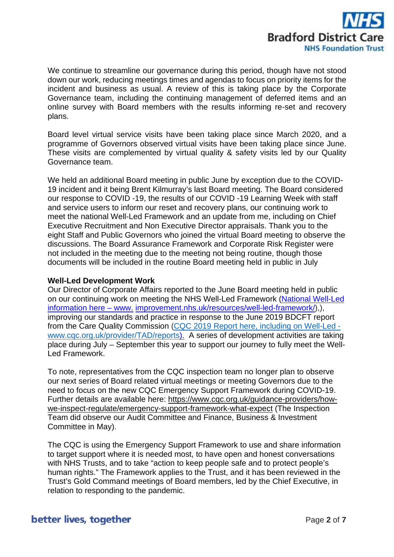

We continue to streamline our governance during this period, though have not stood down our work, reducing meetings times and agendas to focus on priority items for the incident and business as usual. A review of this is taking place by the Corporate Governance team, including the continuing management of deferred items and an online survey with Board members with the results informing re-set and recovery plans.

Board level virtual service visits have been taking place since March 2020, and a programme of Governors observed virtual visits have been taking place since June. These visits are complemented by virtual quality & safety visits led by our Quality Governance team.

We held an additional Board meeting in public June by exception due to the COVID-19 incident and it being Brent Kilmurray's last Board meeting. The Board considered our response to COVID -19, the results of our COVID -19 Learning Week with staff and service users to inform our reset and recovery plans, our continuing work to meet the national Well-Led Framework and an update from me, including on Chief Executive Recruitment and Non Executive Director appraisals. Thank you to the eight Staff and Public Governors who joined the virtual Board meeting to observe the discussions. The Board Assurance Framework and Corporate Risk Register were not included in the meeting due to the meeting not being routine, though those documents will be included in the routine Board meeting held in public in July

### **Well-Led Development Work**

Our Director of Corporate Affairs reported to the June Board meeting held in public on our continuing work on meeting the NHS Well-Led Framework (National Well-Led information here – www. improvement.nhs.uk/resources/well-led-framework/),), improving our standards and practice in response to the June 2019 BDCFT report from the Care Quality Commission (CQC 2019 Report here, including on Well-Led [www.cqc.org.uk/provider/TAD/reports\)](http://www.cqc.org.uk/provider/TAD/reports). A series of development activities are taking place during July – September this year to support our journey to fully meet the Well-Led Framework.

To note, representatives from the CQC inspection team no longer plan to observe our next series of Board related virtual meetings or meeting Governors due to the need to focus on the new CQC Emergency Support Framework during COVID-19. Further details are available here: [https://www.cqc.org.uk/guidance-providers/how](https://www.cqc.org.uk/guidance-providers/how-we-inspect-regulate/emergency-support-framework-what-expect)[we-inspect-regulate/emergency-support-framework-what-expect](https://www.cqc.org.uk/guidance-providers/how-we-inspect-regulate/emergency-support-framework-what-expect) (The Inspection Team did observe our Audit Committee and Finance, Business & Investment Committee in May).

The CQC is using the Emergency Support Framework to use and share information to target support where it is needed most, to have open and honest conversations with NHS Trusts, and to take "action to keep people safe and to protect people's human rights." The Framework applies to the Trust, and it has been reviewed in the Trust's Gold Command meetings of Board members, led by the Chief Executive, in relation to responding to the pandemic.

# better lives, together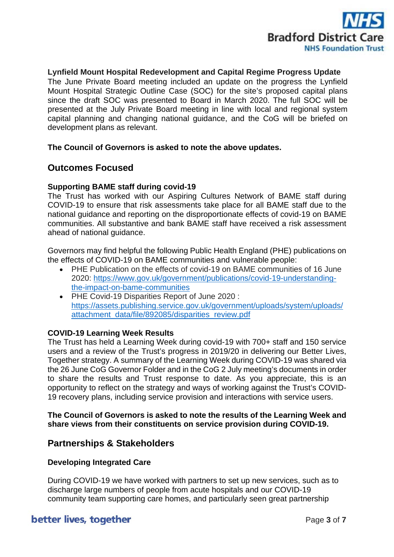

# **Lynfield Mount Hospital Redevelopment and Capital Regime Progress Update**

The June Private Board meeting included an update on the progress the Lynfield Mount Hospital Strategic Outline Case (SOC) for the site's proposed capital plans since the draft SOC was presented to Board in March 2020. The full SOC will be presented at the July Private Board meeting in line with local and regional system capital planning and changing national guidance, and the CoG will be briefed on development plans as relevant.

#### **The Council of Governors is asked to note the above updates.**

# **Outcomes Focused**

# **Supporting BAME staff during covid-19**

The Trust has worked with our Aspiring Cultures Network of BAME staff during COVID-19 to ensure that risk assessments take place for all BAME staff due to the national guidance and reporting on the disproportionate effects of covid-19 on BAME communities. All substantive and bank BAME staff have received a risk assessment ahead of national guidance.

Governors may find helpful the following Public Health England (PHE) publications on the effects of COVID-19 on BAME communities and vulnerable people:

- PHE Publication on the effects of covid-19 on BAME communities of 16 June 2020: [https://www.gov.uk/government/publications/covid-19-understanding](https://www.gov.uk/government/publications/covid-19-understanding-the-impact-on-bame-communities)[the-impact-on-bame-communities](https://www.gov.uk/government/publications/covid-19-understanding-the-impact-on-bame-communities)
- PHE Covid-19 Disparities Report of June 2020 : [https://assets.publishing.service.gov.uk/government/uploads/system/uploads/](https://eur02.safelinks.protection.outlook.com/?url=https%3A%2F%2Fassets.publishing.service.gov.uk%2Fgovernment%2Fuploads%2Fsystem%2Fuploads%2Fattachment_data%2Ffile%2F892085%2Fdisparities_review.pdf&data=01%7C01%7Ccathy.elliott%40bdct.nhs.uk%7C19c07a0850224e9894be08d8136fefa1%7Cf377edd1c32a465086639fc3ec794b84%7C1&sdata=Rvfx%2BMHn1Hahf8niSXwh%2FC%2BTkoOMuxJ6pFPWWe75Spk%3D&reserved=0) [attachment\\_data/file/892085/disparities\\_review.pdf](https://eur02.safelinks.protection.outlook.com/?url=https%3A%2F%2Fassets.publishing.service.gov.uk%2Fgovernment%2Fuploads%2Fsystem%2Fuploads%2Fattachment_data%2Ffile%2F892085%2Fdisparities_review.pdf&data=01%7C01%7Ccathy.elliott%40bdct.nhs.uk%7C19c07a0850224e9894be08d8136fefa1%7Cf377edd1c32a465086639fc3ec794b84%7C1&sdata=Rvfx%2BMHn1Hahf8niSXwh%2FC%2BTkoOMuxJ6pFPWWe75Spk%3D&reserved=0)

# **COVID-19 Learning Week Results**

The Trust has held a Learning Week during covid-19 with 700+ staff and 150 service users and a review of the Trust's progress in 2019/20 in delivering our Better Lives, Together strategy. A summary of the Learning Week during COVID-19 was shared via the 26 June CoG Governor Folder and in the CoG 2 July meeting's documents in order to share the results and Trust response to date. As you appreciate, this is an opportunity to reflect on the strategy and ways of working against the Trust's COVID-19 recovery plans, including service provision and interactions with service users.

# **The Council of Governors is asked to note the results of the Learning Week and share views from their constituents on service provision during COVID-19.**

# **Partnerships & Stakeholders**

#### **Developing Integrated Care**

During COVID-19 we have worked with partners to set up new services, such as to discharge large numbers of people from acute hospitals and our COVID-19 community team supporting care homes, and particularly seen great partnership

# better lives, together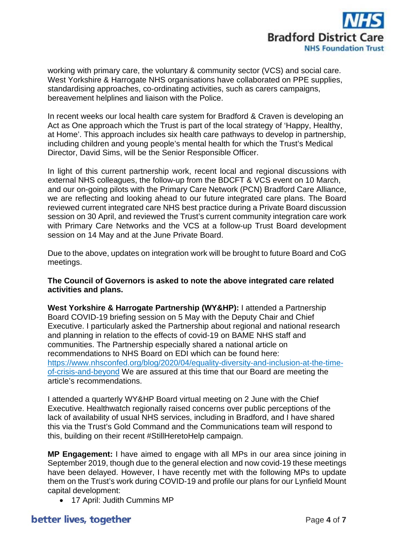

working with primary care, the voluntary & community sector (VCS) and social care. West Yorkshire & Harrogate NHS organisations have collaborated on PPE supplies, standardising approaches, co-ordinating activities, such as carers campaigns, bereavement helplines and liaison with the Police.

In recent weeks our local health care system for Bradford & Craven is developing an Act as One approach which the Trust is part of the local strategy of 'Happy, Healthy, at Home'. This approach includes six health care pathways to develop in partnership, including children and young people's mental health for which the Trust's Medical Director, David Sims, will be the Senior Responsible Officer.

In light of this current partnership work, recent local and regional discussions with external NHS colleagues, the follow-up from the BDCFT & VCS event on 10 March, and our on-going pilots with the Primary Care Network (PCN) Bradford Care Alliance, we are reflecting and looking ahead to our future integrated care plans. The Board reviewed current integrated care NHS best practice during a Private Board discussion session on 30 April, and reviewed the Trust's current community integration care work with Primary Care Networks and the VCS at a follow-up Trust Board development session on 14 May and at the June Private Board.

Due to the above, updates on integration work will be brought to future Board and CoG meetings.

**The Council of Governors is asked to note the above integrated care related activities and plans.** 

**West Yorkshire & Harrogate Partnership (WY&HP):** I attended a Partnership Board COVID-19 briefing session on 5 May with the Deputy Chair and Chief Executive. I particularly asked the Partnership about regional and national research and planning in relation to the effects of covid-19 on BAME NHS staff and communities. The Partnership especially shared a national article on recommendations to NHS Board on EDI which can be found here: [https://www.nhsconfed.org/blog/2020/04/equality-diversity-and-inclusion-at-the-time](https://www.nhsconfed.org/blog/2020/04/equality-diversity-and-inclusion-at-the-time-of-crisis-and-beyond)[of-crisis-and-beyond](https://www.nhsconfed.org/blog/2020/04/equality-diversity-and-inclusion-at-the-time-of-crisis-and-beyond) We are assured at this time that our Board are meeting the article's recommendations.

I attended a quarterly WY&HP Board virtual meeting on 2 June with the Chief Executive. Healthwatch regionally raised concerns over public perceptions of the lack of availability of usual NHS services, including in Bradford, and I have shared this via the Trust's Gold Command and the Communications team will respond to this, building on their recent #StillHeretoHelp campaign.

**MP Engagement:** I have aimed to engage with all MPs in our area since joining in September 2019, though due to the general election and now covid-19 these meetings have been delayed. However, I have recently met with the following MPs to update them on the Trust's work during COVID-19 and profile our plans for our Lynfield Mount capital development:

• 17 April: Judith Cummins MP

# better lives, together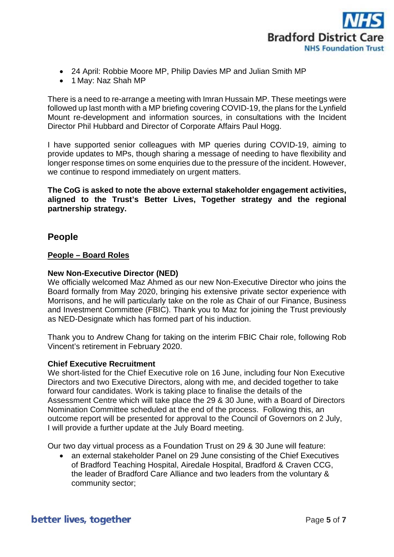

- 24 April: Robbie Moore MP, Philip Davies MP and Julian Smith MP
- 1 May: Naz Shah MP

There is a need to re-arrange a meeting with Imran Hussain MP. These meetings were followed up last month with a MP briefing covering COVID-19, the plans for the Lynfield Mount re-development and information sources, in consultations with the Incident Director Phil Hubbard and Director of Corporate Affairs Paul Hogg.

I have supported senior colleagues with MP queries during COVID-19, aiming to provide updates to MPs, though sharing a message of needing to have flexibility and longer response times on some enquiries due to the pressure of the incident. However, we continue to respond immediately on urgent matters.

**The CoG is asked to note the above external stakeholder engagement activities, aligned to the Trust's Better Lives, Together strategy and the regional partnership strategy.** 

# **People**

# **People – Board Roles**

# **New Non-Executive Director (NED)**

We officially welcomed Maz Ahmed as our new Non-Executive Director who joins the Board formally from May 2020, bringing his extensive private sector experience with Morrisons, and he will particularly take on the role as Chair of our Finance, Business and Investment Committee (FBIC). Thank you to Maz for joining the Trust previously as NED-Designate which has formed part of his induction.

Thank you to Andrew Chang for taking on the interim FBIC Chair role, following Rob Vincent's retirement in February 2020.

#### **Chief Executive Recruitment**

We short-listed for the Chief Executive role on 16 June, including four Non Executive Directors and two Executive Directors, along with me, and decided together to take forward four candidates. Work is taking place to finalise the details of the Assessment Centre which will take place the 29 & 30 June, with a Board of Directors Nomination Committee scheduled at the end of the process. Following this, an outcome report will be presented for approval to the Council of Governors on 2 July, I will provide a further update at the July Board meeting.

Our two day virtual process as a Foundation Trust on 29 & 30 June will feature:

• an external stakeholder Panel on 29 June consisting of the Chief Executives of Bradford Teaching Hospital, Airedale Hospital, Bradford & Craven CCG, the leader of Bradford Care Alliance and two leaders from the voluntary & community sector;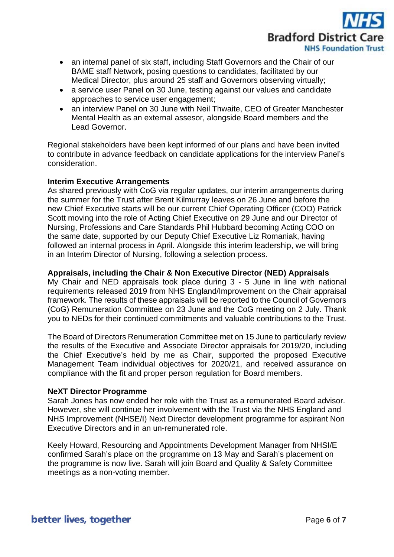

- an internal panel of six staff, including Staff Governors and the Chair of our BAME staff Network, posing questions to candidates, facilitated by our Medical Director, plus around 25 staff and Governors observing virtually;
- a service user Panel on 30 June, testing against our values and candidate approaches to service user engagement;
- an interview Panel on 30 June with Neil Thwaite, CEO of Greater Manchester Mental Health as an external assesor, alongside Board members and the Lead Governor.

Regional stakeholders have been kept informed of our plans and have been invited to contribute in advance feedback on candidate applications for the interview Panel's consideration.

# **Interim Executive Arrangements**

As shared previously with CoG via regular updates, our interim arrangements during the summer for the Trust after Brent Kilmurray leaves on 26 June and before the new Chief Executive starts will be our current Chief Operating Officer (COO) Patrick Scott moving into the role of Acting Chief Executive on 29 June and our Director of Nursing, Professions and Care Standards Phil Hubbard becoming Acting COO on the same date, supported by our Deputy Chief Executive Liz Romaniak, having followed an internal process in April. Alongside this interim leadership, we will bring in an Interim Director of Nursing, following a selection process.

# **Appraisals, including the Chair & Non Executive Director (NED) Appraisals**

My Chair and NED appraisals took place during 3 - 5 June in line with national requirements released 2019 from NHS England/Improvement on the Chair appraisal framework. The results of these appraisals will be reported to the Council of Governors (CoG) Remuneration Committee on 23 June and the CoG meeting on 2 July. Thank you to NEDs for their continued commitments and valuable contributions to the Trust.

The Board of Directors Renumeration Committee met on 15 June to particularly review the results of the Executive and Associate Director appraisals for 2019/20, including the Chief Executive's held by me as Chair, supported the proposed Executive Management Team individual objectives for 2020/21, and received assurance on compliance with the fit and proper person regulation for Board members.

# **NeXT Director Programme**

Sarah Jones has now ended her role with the Trust as a remunerated Board advisor. However, she will continue her involvement with the Trust via the NHS England and NHS Improvement (NHSE/I) Next Director development programme for aspirant Non Executive Directors and in an un-remunerated role.

Keely Howard, Resourcing and Appointments Development Manager from NHSI/E confirmed Sarah's place on the programme on 13 May and Sarah's placement on the programme is now live. Sarah will join Board and Quality & Safety Committee meetings as a non-voting member.